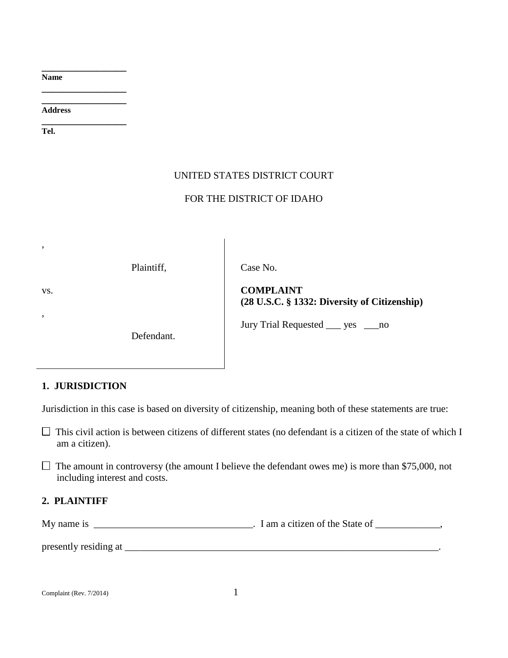**Name**

**Address**

**\_\_\_\_\_\_\_\_\_\_\_\_\_\_\_\_\_ Tel.**

**\_\_\_\_\_\_\_\_\_\_\_\_\_\_\_\_\_**

**\_\_\_\_\_\_\_\_\_\_\_\_\_\_\_\_\_ \_\_\_\_\_\_\_\_\_\_\_\_\_\_\_\_\_**

### UNITED STATES DISTRICT COURT

### FOR THE DISTRICT OF IDAHO

Plaintiff,

Defendant.

Case No.

vs.

,

,

**COMPLAINT (28 U.S.C. § 1332: Diversity of Citizenship)**

Jury Trial Requested \_\_\_ yes \_\_\_no

# **1. JURISDICTION**

Jurisdiction in this case is based on diversity of citizenship, meaning both of these statements are true:

 $\Box$  This civil action is between citizens of different states (no defendant is a citizen of the state of which I am a citizen).

 $\Box$  The amount in controversy (the amount I believe the defendant owes me) is more than \$75,000, not including interest and costs.

# **2. PLAINTIFF**

My name is \_\_\_\_\_\_\_\_\_\_\_\_\_\_\_\_\_\_\_\_\_\_\_\_\_\_\_\_\_\_\_\_. I am a citizen of the State of \_\_\_\_\_\_\_\_\_\_\_,

presently residing at \_\_\_\_\_\_\_\_\_\_\_\_\_\_\_\_\_\_\_\_\_\_\_\_\_\_\_\_\_\_\_\_\_\_\_\_\_\_\_\_\_\_\_\_\_\_\_\_\_\_\_\_\_\_\_\_\_\_\_\_\_\_\_.

Complaint (Rev. 7/2014) 1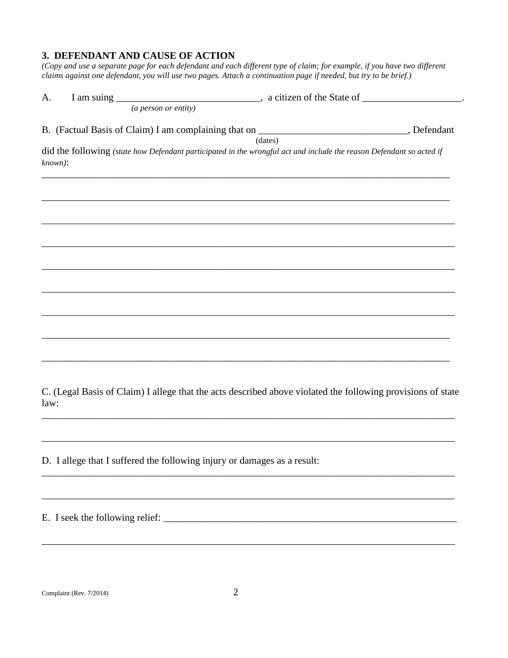#### **3. DEFENDANT AND CAUSE OF ACTION**

*(Copy and use a separate page for each defendant and each different type of claim; for example, if you have two different claims against one defendant, you will use two pages. Attach a continuation page if needed, but try to be brief.)* 

| A.<br>(a person or entity)                                                                                                         |         |
|------------------------------------------------------------------------------------------------------------------------------------|---------|
| B. (Factual Basis of Claim) I am complaining that on ____________________________, Defendant                                       | (dates) |
| did the following (state how Defendant participated in the wrongful act and include the reason Defendant so acted if<br>$known)$ : |         |
|                                                                                                                                    |         |
|                                                                                                                                    |         |
|                                                                                                                                    |         |
|                                                                                                                                    |         |
|                                                                                                                                    |         |
|                                                                                                                                    |         |
|                                                                                                                                    |         |

C. (Legal Basis of Claim) I allege that the acts described above violated the following provisions of state law:

\_\_\_\_\_\_\_\_\_\_\_\_\_\_\_\_\_\_\_\_\_\_\_\_\_\_\_\_\_\_\_\_\_\_\_\_\_\_\_\_\_\_\_\_\_\_\_\_\_\_\_\_\_\_\_\_\_\_\_\_\_\_\_\_\_\_\_\_\_\_\_\_\_\_\_\_\_\_\_\_\_\_\_

\_\_\_\_\_\_\_\_\_\_\_\_\_\_\_\_\_\_\_\_\_\_\_\_\_\_\_\_\_\_\_\_\_\_\_\_\_\_\_\_\_\_\_\_\_\_\_\_\_\_\_\_\_\_\_\_\_\_\_\_\_\_\_\_\_\_\_\_\_\_\_\_\_\_\_\_\_\_\_\_\_\_\_

\_\_\_\_\_\_\_\_\_\_\_\_\_\_\_\_\_\_\_\_\_\_\_\_\_\_\_\_\_\_\_\_\_\_\_\_\_\_\_\_\_\_\_\_\_\_\_\_\_\_\_\_\_\_\_\_\_\_\_\_\_\_\_\_\_\_\_\_\_\_\_\_\_\_\_\_\_\_\_\_\_\_\_

\_\_\_\_\_\_\_\_\_\_\_\_\_\_\_\_\_\_\_\_\_\_\_\_\_\_\_\_\_\_\_\_\_\_\_\_\_\_\_\_\_\_\_\_\_\_\_\_\_\_\_\_\_\_\_\_\_\_\_\_\_\_\_\_\_\_\_\_\_\_\_\_\_\_\_\_\_\_\_\_\_\_\_

\_\_\_\_\_\_\_\_\_\_\_\_\_\_\_\_\_\_\_\_\_\_\_\_\_\_\_\_\_\_\_\_\_\_\_\_\_\_\_\_\_\_\_\_\_\_\_\_\_\_\_\_\_\_\_\_\_\_\_\_\_\_\_\_\_\_\_\_\_\_\_\_\_\_\_\_\_\_\_\_\_\_\_

D. I allege that I suffered the following injury or damages as a result:

E. I seek the following relief: \_\_\_\_\_\_\_\_\_\_\_\_\_\_\_\_\_\_\_\_\_\_\_\_\_\_\_\_\_\_\_\_\_\_\_\_\_\_\_\_\_\_\_\_\_\_\_\_\_\_\_\_\_\_\_\_\_\_\_